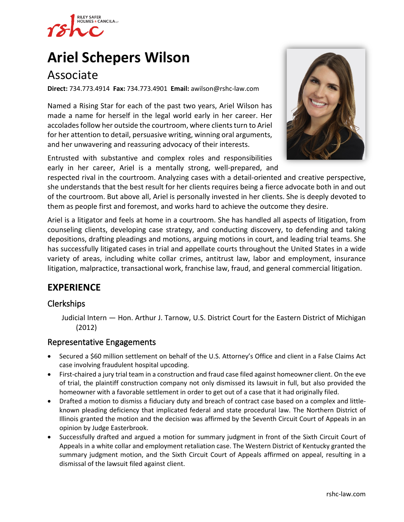

# **Ariel [Schepers Wilson](https://www.rshc-law.com/attorneys/attorney/ariel-schepers-wilson)**

# Associate

**Direct:** 734.773.4914 **Fax:** 734.773.4901 **Email:** awilson@rshc-law.com

Named a Rising Star for each of the past two years, Ariel Wilson has made a name for herself in the legal world early in her career. Her accolades follow her outside the courtroom, where clients turn to Ariel for her attention to detail, persuasive writing, winning oral arguments, and her unwavering and reassuring advocacy of their interests.

Entrusted with substantive and complex roles and responsibilities early in her career, Ariel is a mentally strong, well-prepared, an[d](https://www.rshc-law.com/attorneys/attorney/ariel-schepers-wilson) 



respected rival in the courtroom. Analyzing cases with a detail-oriented and creative perspective, she understands that the best result for her clients requires being a fierce advocate both in and out of the courtroom. But above all, Ariel is personally invested in her clients. She is deeply devoted to them as people first and foremost, and works hard to achieve the outcome they desire.

Ariel is a litigator and feels at home in a courtroom. She has handled all aspects of litigation, from counseling clients, developing case strategy, and conducting discovery, to defending and taking depositions, drafting pleadings and motions, arguing motions in court, and leading trial teams. She has successfully litigated cases in trial and appellate courts throughout the United States in a wide variety of areas, including white collar crimes, antitrust law, labor and employment, insurance litigation, malpractice, transactional work, franchise law, fraud, and general commercial litigation.

## **EXPERIENCE**

#### Clerkships

Judicial Intern — Hon. Arthur J. Tarnow, U.S. District Court for the Eastern District of Michigan (2012)

#### Representative Engagements

- Secured a \$60 million settlement on behalf of the U.S. Attorney's Office and client in a False Claims Act case involving fraudulent hospital upcoding.
- First-chaired a jury trial team in a construction and fraud case filed against homeowner client. On the eve of trial, the plaintiff construction company not only dismissed its lawsuit in full, but also provided the homeowner with a favorable settlement in order to get out of a case that it had originally filed.
- Drafted a motion to dismiss a fiduciary duty and breach of contract case based on a complex and littleknown pleading deficiency that implicated federal and state procedural law. The Northern District of Illinois granted the motion and the decision was affirmed by the Seventh Circuit Court of Appeals in an opinion by Judge Easterbrook.
- Successfully drafted and argued a motion for summary judgment in front of the Sixth Circuit Court of Appeals in a white collar and employment retaliation case. The Western District of Kentucky granted the summary judgment motion, and the Sixth Circuit Court of Appeals affirmed on appeal, resulting in a dismissal of the lawsuit filed against client.